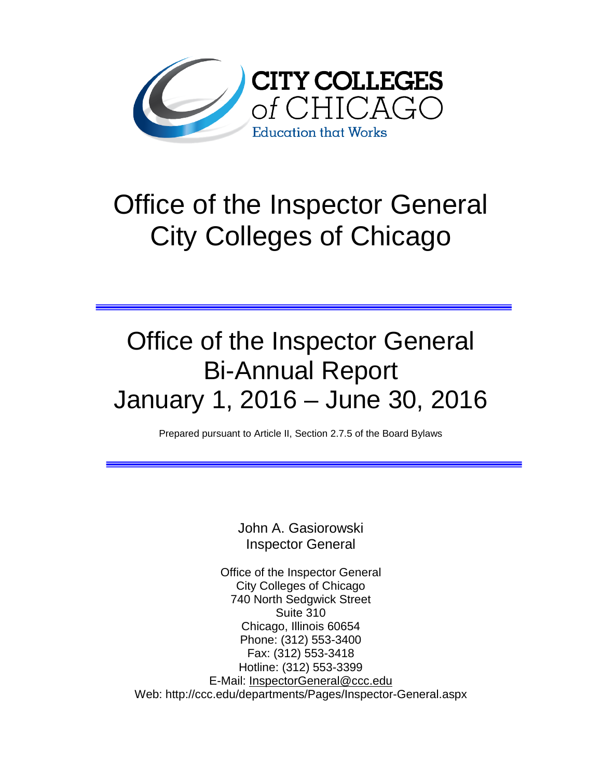

# Office of the Inspector General City Colleges of Chicago

# Office of the Inspector General Bi-Annual Report January 1, 2016 – June 30, 2016

Prepared pursuant to Article II, Section 2.7.5 of the Board Bylaws

John A. Gasiorowski Inspector General

Office of the Inspector General City Colleges of Chicago 740 North Sedgwick Street Suite 310 Chicago, Illinois 60654 Phone: (312) 553-3400 Fax: (312) 553-3418 Hotline: (312) 553-3399 E-Mail: [InspectorGeneral@ccc.edu](mailto:InspectorGeneral@ccc.edu) Web: http://ccc.edu/departments/Pages/Inspector-General.aspx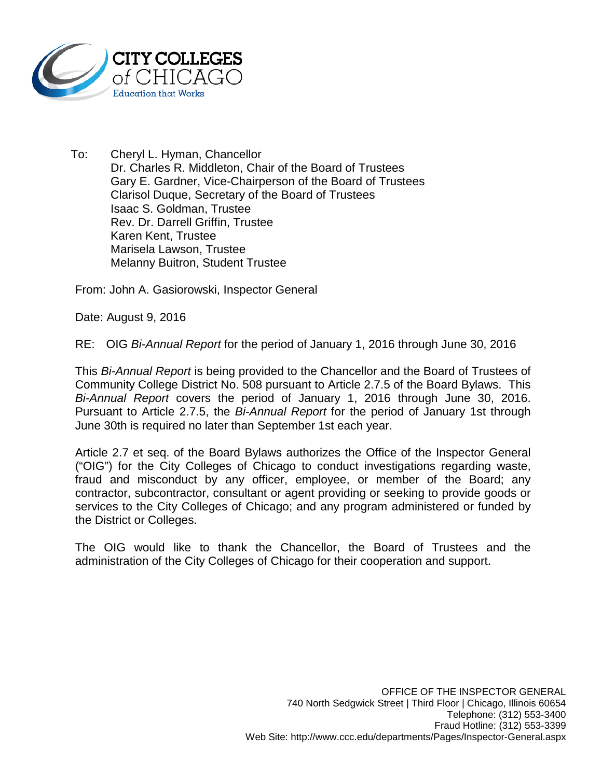

To: Cheryl L. Hyman, Chancellor Dr. Charles R. Middleton, Chair of the Board of Trustees Gary E. Gardner, Vice-Chairperson of the Board of Trustees Clarisol Duque, Secretary of the Board of Trustees Isaac S. Goldman, Trustee Rev. Dr. Darrell Griffin, Trustee Karen Kent, Trustee Marisela Lawson, Trustee Melanny Buitron, Student Trustee

From: John A. Gasiorowski, Inspector General

Date: August 9, 2016

RE: OIG *Bi-Annual Report* for the period of January 1, 2016 through June 30, 2016

This *Bi-Annual Report* is being provided to the Chancellor and the Board of Trustees of Community College District No. 508 pursuant to Article 2.7.5 of the Board Bylaws. This *Bi-Annual Report* covers the period of January 1, 2016 through June 30, 2016. Pursuant to Article 2.7.5, the *Bi-Annual Report* for the period of January 1st through June 30th is required no later than September 1st each year.

Article 2.7 et seq. of the Board Bylaws authorizes the Office of the Inspector General ("OIG") for the City Colleges of Chicago to conduct investigations regarding waste, fraud and misconduct by any officer, employee, or member of the Board; any contractor, subcontractor, consultant or agent providing or seeking to provide goods or services to the City Colleges of Chicago; and any program administered or funded by the District or Colleges.

The OIG would like to thank the Chancellor, the Board of Trustees and the administration of the City Colleges of Chicago for their cooperation and support.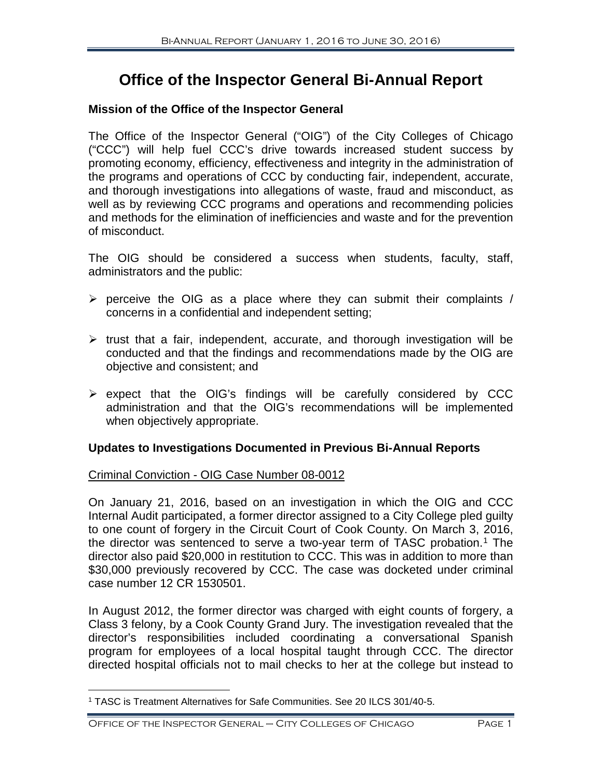# **Office of the Inspector General Bi-Annual Report**

# **Mission of the Office of the Inspector General**

The Office of the Inspector General ("OIG") of the City Colleges of Chicago ("CCC") will help fuel CCC's drive towards increased student success by promoting economy, efficiency, effectiveness and integrity in the administration of the programs and operations of CCC by conducting fair, independent, accurate, and thorough investigations into allegations of waste, fraud and misconduct, as well as by reviewing CCC programs and operations and recommending policies and methods for the elimination of inefficiencies and waste and for the prevention of misconduct.

The OIG should be considered a success when students, faculty, staff, administrators and the public:

- $\triangleright$  perceive the OIG as a place where they can submit their complaints / concerns in a confidential and independent setting;
- $\triangleright$  trust that a fair, independent, accurate, and thorough investigation will be conducted and that the findings and recommendations made by the OIG are objective and consistent; and
- $\triangleright$  expect that the OIG's findings will be carefully considered by CCC administration and that the OIG's recommendations will be implemented when objectively appropriate.

# **Updates to Investigations Documented in Previous Bi-Annual Reports**

# Criminal Conviction - OIG Case Number 08-0012

On January 21, 2016, based on an investigation in which the OIG and CCC Internal Audit participated, a former director assigned to a City College pled guilty to one count of forgery in the Circuit Court of Cook County. On March 3, 2016, the director was sentenced to serve a two-year term of TASC probation.<sup>[1](#page-2-0)</sup> The director also paid \$20,000 in restitution to CCC. This was in addition to more than \$30,000 previously recovered by CCC. The case was docketed under criminal case number 12 CR 1530501.

In August 2012, the former director was charged with eight counts of forgery, a Class 3 felony, by a Cook County Grand Jury. The investigation revealed that the director's responsibilities included coordinating a conversational Spanish program for employees of a local hospital taught through CCC. The director directed hospital officials not to mail checks to her at the college but instead to

<span id="page-2-0"></span> $\overline{a}$ <sup>1</sup> TASC is Treatment Alternatives for Safe Communities. See 20 ILCS 301/40-5.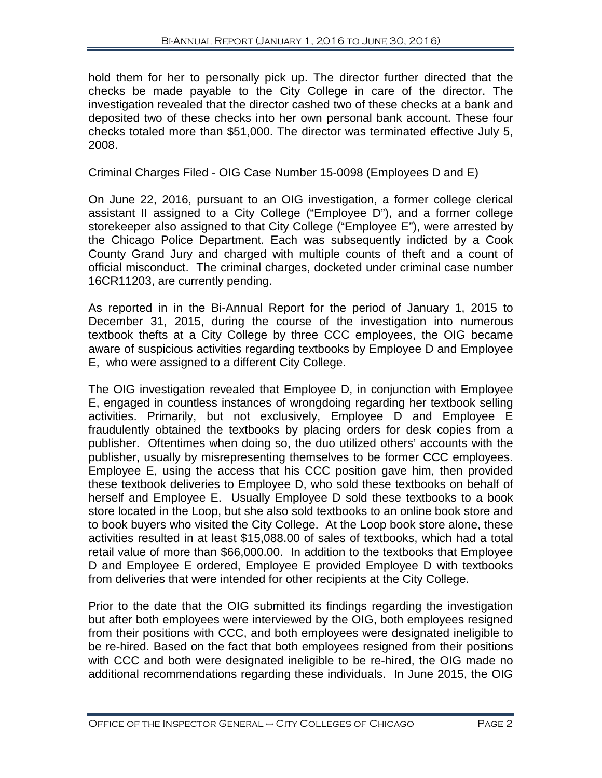hold them for her to personally pick up. The director further directed that the checks be made payable to the City College in care of the director. The investigation revealed that the director cashed two of these checks at a bank and deposited two of these checks into her own personal bank account. These four checks totaled more than \$51,000. The director was terminated effective July 5, 2008.

# Criminal Charges Filed - OIG Case Number 15-0098 (Employees D and E)

On June 22, 2016, pursuant to an OIG investigation, a former college clerical assistant II assigned to a City College ("Employee D"), and a former college storekeeper also assigned to that City College ("Employee E"), were arrested by the Chicago Police Department. Each was subsequently indicted by a Cook County Grand Jury and charged with multiple counts of theft and a count of official misconduct. The criminal charges, docketed under criminal case number 16CR11203, are currently pending.

As reported in in the Bi-Annual Report for the period of January 1, 2015 to December 31, 2015, during the course of the investigation into numerous textbook thefts at a City College by three CCC employees, the OIG became aware of suspicious activities regarding textbooks by Employee D and Employee E, who were assigned to a different City College.

The OIG investigation revealed that Employee D, in conjunction with Employee E, engaged in countless instances of wrongdoing regarding her textbook selling activities. Primarily, but not exclusively, Employee D and Employee E fraudulently obtained the textbooks by placing orders for desk copies from a publisher. Oftentimes when doing so, the duo utilized others' accounts with the publisher, usually by misrepresenting themselves to be former CCC employees. Employee E, using the access that his CCC position gave him, then provided these textbook deliveries to Employee D, who sold these textbooks on behalf of herself and Employee E. Usually Employee D sold these textbooks to a book store located in the Loop, but she also sold textbooks to an online book store and to book buyers who visited the City College. At the Loop book store alone, these activities resulted in at least \$15,088.00 of sales of textbooks, which had a total retail value of more than \$66,000.00. In addition to the textbooks that Employee D and Employee E ordered, Employee E provided Employee D with textbooks from deliveries that were intended for other recipients at the City College.

Prior to the date that the OIG submitted its findings regarding the investigation but after both employees were interviewed by the OIG, both employees resigned from their positions with CCC, and both employees were designated ineligible to be re-hired. Based on the fact that both employees resigned from their positions with CCC and both were designated ineligible to be re-hired, the OIG made no additional recommendations regarding these individuals. In June 2015, the OIG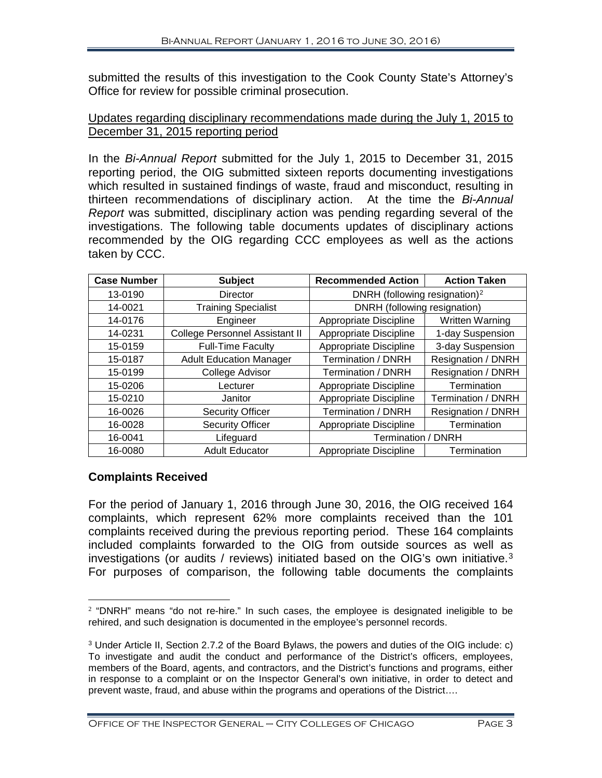submitted the results of this investigation to the Cook County State's Attorney's Office for review for possible criminal prosecution.

#### Updates regarding disciplinary recommendations made during the July 1, 2015 to December 31, 2015 reporting period

In the *Bi-Annual Report* submitted for the July 1, 2015 to December 31, 2015 reporting period, the OIG submitted sixteen reports documenting investigations which resulted in sustained findings of waste, fraud and misconduct, resulting in thirteen recommendations of disciplinary action. At the time the *Bi-Annual Report* was submitted, disciplinary action was pending regarding several of the investigations. The following table documents updates of disciplinary actions recommended by the OIG regarding CCC employees as well as the actions taken by CCC.

| <b>Case Number</b> | <b>Subject</b>                 | <b>Recommended Action</b>                 | <b>Action Taken</b> |
|--------------------|--------------------------------|-------------------------------------------|---------------------|
| 13-0190            | <b>Director</b>                | DNRH (following resignation) <sup>2</sup> |                     |
| 14-0021            | <b>Training Specialist</b>     | DNRH (following resignation)              |                     |
| 14-0176            | Engineer                       | Appropriate Discipline                    | Written Warning     |
| 14-0231            | College Personnel Assistant II | Appropriate Discipline                    | 1-day Suspension    |
| 15-0159            | <b>Full-Time Faculty</b>       | Appropriate Discipline                    | 3-day Suspension    |
| 15-0187            | <b>Adult Education Manager</b> | <b>Termination / DNRH</b>                 | Resignation / DNRH  |
| 15-0199            | College Advisor                | Termination / DNRH                        | Resignation / DNRH  |
| 15-0206            | Lecturer                       | Appropriate Discipline                    | Termination         |
| 15-0210            | Janitor                        | Appropriate Discipline                    | Termination / DNRH  |
| 16-0026            | <b>Security Officer</b>        | Termination / DNRH                        | Resignation / DNRH  |
| 16-0028            | <b>Security Officer</b>        | Appropriate Discipline                    | Termination         |
| 16-0041            | Lifeguard                      | <b>Termination / DNRH</b>                 |                     |
| 16-0080            | <b>Adult Educator</b>          | Appropriate Discipline                    | Termination         |

# **Complaints Received**

For the period of January 1, 2016 through June 30, 2016, the OIG received 164 complaints, which represent 62% more complaints received than the 101 complaints received during the previous reporting period. These 164 complaints included complaints forwarded to the OIG from outside sources as well as investigations (or audits / reviews) initiated based on the OIG's own initiative.<sup>[3](#page-4-1)</sup> For purposes of comparison, the following table documents the complaints

<span id="page-4-0"></span> $2$  "DNRH" means "do not re-hire." In such cases, the employee is designated ineligible to be rehired, and such designation is documented in the employee's personnel records.

<span id="page-4-1"></span><sup>3</sup> Under Article II, Section 2.7.2 of the Board Bylaws, the powers and duties of the OIG include: c) To investigate and audit the conduct and performance of the District's officers, employees, members of the Board, agents, and contractors, and the District's functions and programs, either in response to a complaint or on the Inspector General's own initiative, in order to detect and prevent waste, fraud, and abuse within the programs and operations of the District….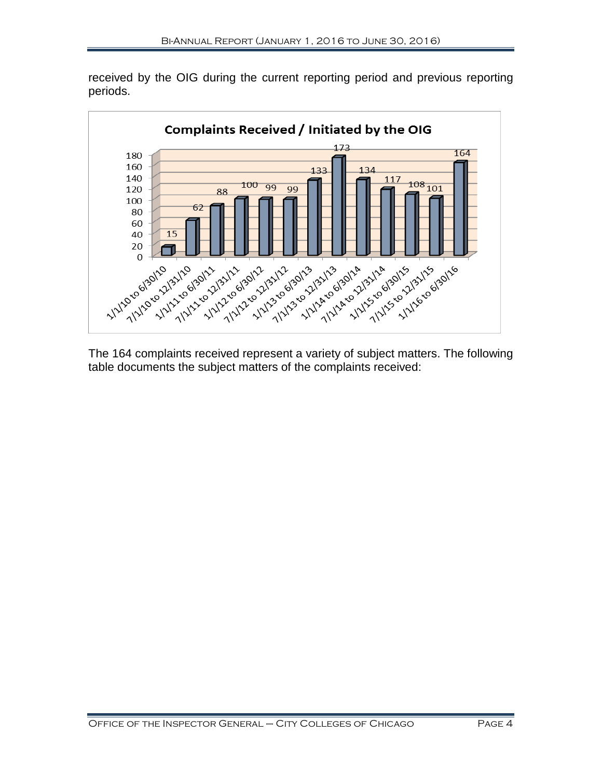received by the OIG during the current reporting period and previous reporting periods.



The 164 complaints received represent a variety of subject matters. The following table documents the subject matters of the complaints received: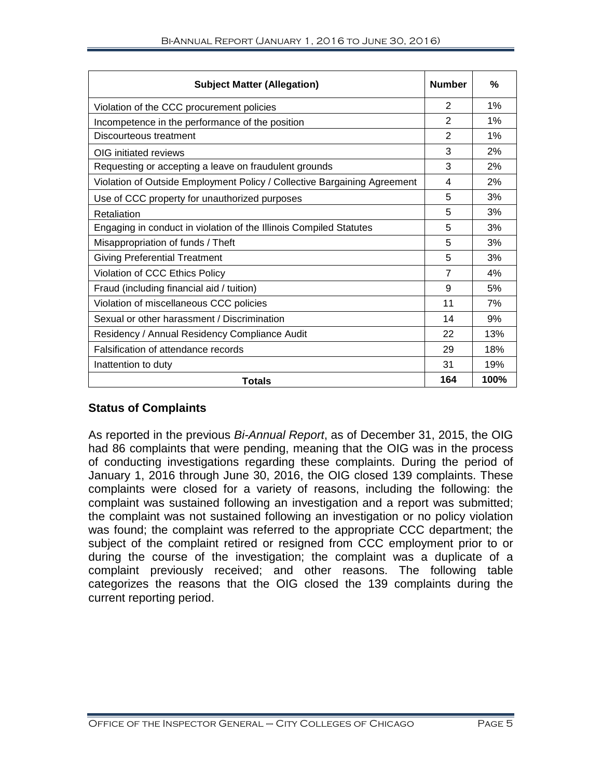| <b>Subject Matter (Allegation)</b>                                       | <b>Number</b> | $\%$ |
|--------------------------------------------------------------------------|---------------|------|
| Violation of the CCC procurement policies                                | 2             | 1%   |
| Incompetence in the performance of the position                          | $\mathbf{2}$  | 1%   |
| Discourteous treatment                                                   | $\mathcal{P}$ | 1%   |
| OIG initiated reviews                                                    | 3             | 2%   |
| Requesting or accepting a leave on fraudulent grounds                    | 3             | 2%   |
| Violation of Outside Employment Policy / Collective Bargaining Agreement | 4             | 2%   |
| Use of CCC property for unauthorized purposes                            | 5             | 3%   |
| Retaliation                                                              | 5             | 3%   |
| Engaging in conduct in violation of the Illinois Compiled Statutes       | 5             | 3%   |
| Misappropriation of funds / Theft                                        | 5             | 3%   |
| <b>Giving Preferential Treatment</b>                                     | 5             | 3%   |
| Violation of CCC Ethics Policy                                           | 7             | 4%   |
| Fraud (including financial aid / tuition)                                | 9             | 5%   |
| Violation of miscellaneous CCC policies                                  | 11            | 7%   |
| Sexual or other harassment / Discrimination                              | 14            | 9%   |
| Residency / Annual Residency Compliance Audit                            | 22            | 13%  |
| Falsification of attendance records                                      | 29            | 18%  |
| Inattention to duty                                                      | 31            | 19%  |
| <b>Totals</b>                                                            | 164           | 100% |

# **Status of Complaints**

As reported in the previous *Bi-Annual Report*, as of December 31, 2015, the OIG had 86 complaints that were pending, meaning that the OIG was in the process of conducting investigations regarding these complaints. During the period of January 1, 2016 through June 30, 2016, the OIG closed 139 complaints. These complaints were closed for a variety of reasons, including the following: the complaint was sustained following an investigation and a report was submitted; the complaint was not sustained following an investigation or no policy violation was found; the complaint was referred to the appropriate CCC department; the subject of the complaint retired or resigned from CCC employment prior to or during the course of the investigation; the complaint was a duplicate of a complaint previously received; and other reasons. The following table categorizes the reasons that the OIG closed the 139 complaints during the current reporting period.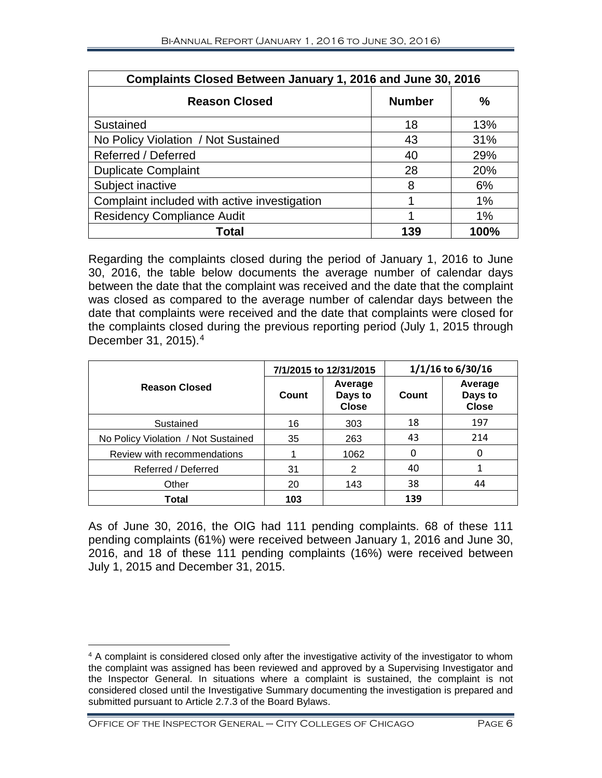| Complaints Closed Between January 1, 2016 and June 30, 2016 |               |               |  |
|-------------------------------------------------------------|---------------|---------------|--|
| <b>Reason Closed</b>                                        | <b>Number</b> | $\frac{0}{0}$ |  |
| Sustained                                                   | 18            | 13%           |  |
| No Policy Violation / Not Sustained                         | 43            | 31%           |  |
| Referred / Deferred                                         | 40            | 29%           |  |
| <b>Duplicate Complaint</b>                                  | 28            | 20%           |  |
| Subject inactive                                            | 8             | 6%            |  |
| Complaint included with active investigation                |               | 1%            |  |
| <b>Residency Compliance Audit</b>                           | 1             | 1%            |  |
| Total                                                       | 139           | 100%          |  |

Regarding the complaints closed during the period of January 1, 2016 to June 30, 2016, the table below documents the average number of calendar days between the date that the complaint was received and the date that the complaint was closed as compared to the average number of calendar days between the date that complaints were received and the date that complaints were closed for the complaints closed during the previous reporting period (July 1, 2015 through December 31, 2015). [4](#page-7-0)

|                                     | 7/1/2015 to 12/31/2015 |                                    | 1/1/16 to 6/30/16 |                                    |
|-------------------------------------|------------------------|------------------------------------|-------------------|------------------------------------|
| <b>Reason Closed</b>                | Count                  | Average<br>Days to<br><b>Close</b> | Count             | Average<br>Days to<br><b>Close</b> |
| Sustained                           | 16                     | 303                                | 18                | 197                                |
| No Policy Violation / Not Sustained | 35                     | 263                                | 43                | 214                                |
| Review with recommendations         |                        | 1062                               | 0                 | 0                                  |
| Referred / Deferred                 | 31                     | 2                                  | 40                |                                    |
| Other                               | 20                     | 143                                | 38                | 44                                 |
| Total                               | 103                    |                                    | 139               |                                    |

As of June 30, 2016, the OIG had 111 pending complaints. 68 of these 111 pending complaints (61%) were received between January 1, 2016 and June 30, 2016, and 18 of these 111 pending complaints (16%) were received between July 1, 2015 and December 31, 2015.

 $\overline{a}$ 

<span id="page-7-0"></span><sup>&</sup>lt;sup>4</sup> A complaint is considered closed only after the investigative activity of the investigator to whom the complaint was assigned has been reviewed and approved by a Supervising Investigator and the Inspector General. In situations where a complaint is sustained, the complaint is not considered closed until the Investigative Summary documenting the investigation is prepared and submitted pursuant to Article 2.7.3 of the Board Bylaws.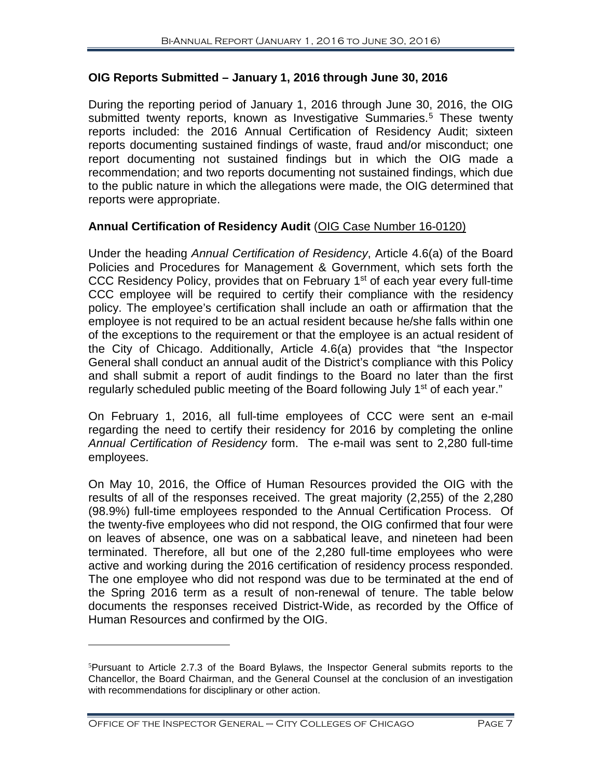# **OIG Reports Submitted – January 1, 2016 through June 30, 2016**

During the reporting period of January 1, 2016 through June 30, 2016, the OIG submitted twenty reports, known as Investigative Summaries. [5](#page-8-0) These twenty reports included: the 2016 Annual Certification of Residency Audit; sixteen reports documenting sustained findings of waste, fraud and/or misconduct; one report documenting not sustained findings but in which the OIG made a recommendation; and two reports documenting not sustained findings, which due to the public nature in which the allegations were made, the OIG determined that reports were appropriate.

# **Annual Certification of Residency Audit** (OIG Case Number 16-0120)

Under the heading *Annual Certification of Residency*, Article 4.6(a) of the Board Policies and Procedures for Management & Government, which sets forth the CCC Residency Policy, provides that on February 1<sup>st</sup> of each year every full-time CCC employee will be required to certify their compliance with the residency policy. The employee's certification shall include an oath or affirmation that the employee is not required to be an actual resident because he/she falls within one of the exceptions to the requirement or that the employee is an actual resident of the City of Chicago. Additionally, Article 4.6(a) provides that "the Inspector General shall conduct an annual audit of the District's compliance with this Policy and shall submit a report of audit findings to the Board no later than the first regularly scheduled public meeting of the Board following July 1<sup>st</sup> of each year."

On February 1, 2016, all full-time employees of CCC were sent an e-mail regarding the need to certify their residency for 2016 by completing the online *Annual Certification of Residency* form. The e-mail was sent to 2,280 full-time employees.

On May 10, 2016, the Office of Human Resources provided the OIG with the results of all of the responses received. The great majority (2,255) of the 2,280 (98.9%) full-time employees responded to the Annual Certification Process. Of the twenty-five employees who did not respond, the OIG confirmed that four were on leaves of absence, one was on a sabbatical leave, and nineteen had been terminated. Therefore, all but one of the 2,280 full-time employees who were active and working during the 2016 certification of residency process responded. The one employee who did not respond was due to be terminated at the end of the Spring 2016 term as a result of non-renewal of tenure. The table below documents the responses received District-Wide, as recorded by the Office of Human Resources and confirmed by the OIG.

 $\overline{a}$ 

<span id="page-8-0"></span><sup>5</sup> Pursuant to Article 2.7.3 of the Board Bylaws, the Inspector General submits reports to the Chancellor, the Board Chairman, and the General Counsel at the conclusion of an investigation with recommendations for disciplinary or other action.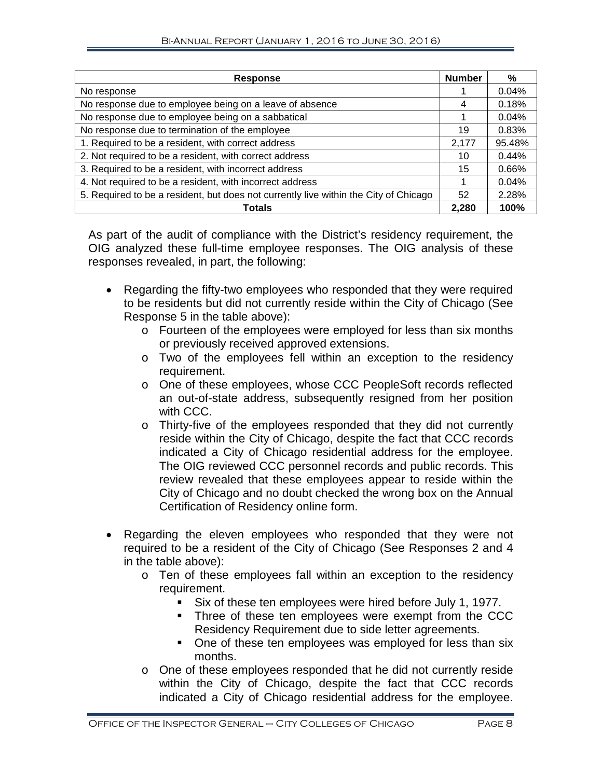| <b>Response</b>                                                                      | <b>Number</b> | %      |
|--------------------------------------------------------------------------------------|---------------|--------|
| No response                                                                          |               | 0.04%  |
| No response due to employee being on a leave of absence                              | 4             | 0.18%  |
| No response due to employee being on a sabbatical                                    |               | 0.04%  |
| No response due to termination of the employee                                       | 19            | 0.83%  |
| 1. Required to be a resident, with correct address                                   | 2,177         | 95.48% |
| 2. Not required to be a resident, with correct address                               | 10            | 0.44%  |
| 3. Required to be a resident, with incorrect address                                 | 15            | 0.66%  |
| 4. Not required to be a resident, with incorrect address                             |               | 0.04%  |
| 5. Required to be a resident, but does not currently live within the City of Chicago | 52            | 2.28%  |
| Totals                                                                               | 2.280         | 100%   |

As part of the audit of compliance with the District's residency requirement, the OIG analyzed these full-time employee responses. The OIG analysis of these responses revealed, in part, the following:

- Regarding the fifty-two employees who responded that they were required to be residents but did not currently reside within the City of Chicago (See Response 5 in the table above):
	- o Fourteen of the employees were employed for less than six months or previously received approved extensions.
	- o Two of the employees fell within an exception to the residency requirement.
	- o One of these employees, whose CCC PeopleSoft records reflected an out-of-state address, subsequently resigned from her position with CCC.
	- o Thirty-five of the employees responded that they did not currently reside within the City of Chicago, despite the fact that CCC records indicated a City of Chicago residential address for the employee. The OIG reviewed CCC personnel records and public records. This review revealed that these employees appear to reside within the City of Chicago and no doubt checked the wrong box on the Annual Certification of Residency online form.
- Regarding the eleven employees who responded that they were not required to be a resident of the City of Chicago (See Responses 2 and 4 in the table above):
	- o Ten of these employees fall within an exception to the residency requirement.
		- Six of these ten employees were hired before July 1, 1977.
		- Three of these ten employees were exempt from the CCC Residency Requirement due to side letter agreements.
		- One of these ten employees was employed for less than six months.
	- o One of these employees responded that he did not currently reside within the City of Chicago, despite the fact that CCC records indicated a City of Chicago residential address for the employee.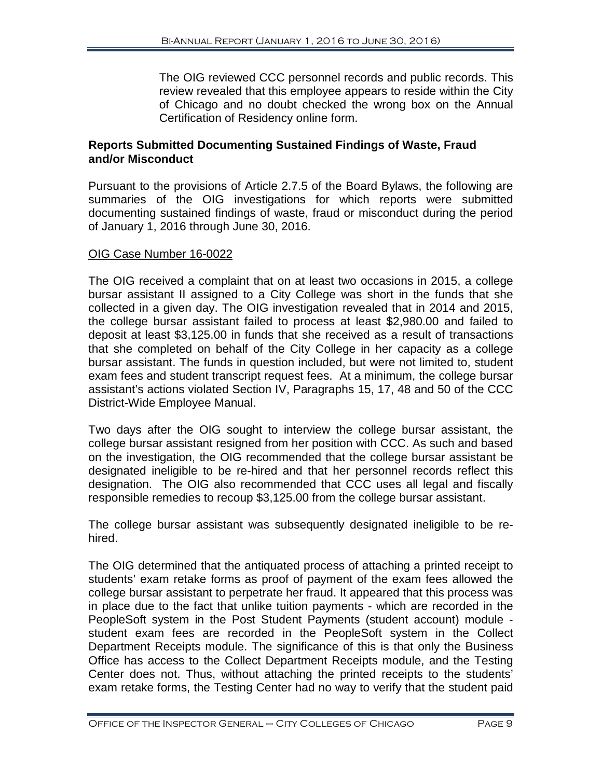The OIG reviewed CCC personnel records and public records. This review revealed that this employee appears to reside within the City of Chicago and no doubt checked the wrong box on the Annual Certification of Residency online form.

# **Reports Submitted Documenting Sustained Findings of Waste, Fraud and/or Misconduct**

Pursuant to the provisions of Article 2.7.5 of the Board Bylaws, the following are summaries of the OIG investigations for which reports were submitted documenting sustained findings of waste, fraud or misconduct during the period of January 1, 2016 through June 30, 2016.

# OIG Case Number 16-0022

The OIG received a complaint that on at least two occasions in 2015, a college bursar assistant II assigned to a City College was short in the funds that she collected in a given day. The OIG investigation revealed that in 2014 and 2015, the college bursar assistant failed to process at least \$2,980.00 and failed to deposit at least \$3,125.00 in funds that she received as a result of transactions that she completed on behalf of the City College in her capacity as a college bursar assistant. The funds in question included, but were not limited to, student exam fees and student transcript request fees. At a minimum, the college bursar assistant's actions violated Section IV, Paragraphs 15, 17, 48 and 50 of the CCC District-Wide Employee Manual.

Two days after the OIG sought to interview the college bursar assistant, the college bursar assistant resigned from her position with CCC. As such and based on the investigation, the OIG recommended that the college bursar assistant be designated ineligible to be re-hired and that her personnel records reflect this designation. The OIG also recommended that CCC uses all legal and fiscally responsible remedies to recoup \$3,125.00 from the college bursar assistant.

The college bursar assistant was subsequently designated ineligible to be rehired.

The OIG determined that the antiquated process of attaching a printed receipt to students' exam retake forms as proof of payment of the exam fees allowed the college bursar assistant to perpetrate her fraud. It appeared that this process was in place due to the fact that unlike tuition payments - which are recorded in the PeopleSoft system in the Post Student Payments (student account) module student exam fees are recorded in the PeopleSoft system in the Collect Department Receipts module. The significance of this is that only the Business Office has access to the Collect Department Receipts module, and the Testing Center does not. Thus, without attaching the printed receipts to the students' exam retake forms, the Testing Center had no way to verify that the student paid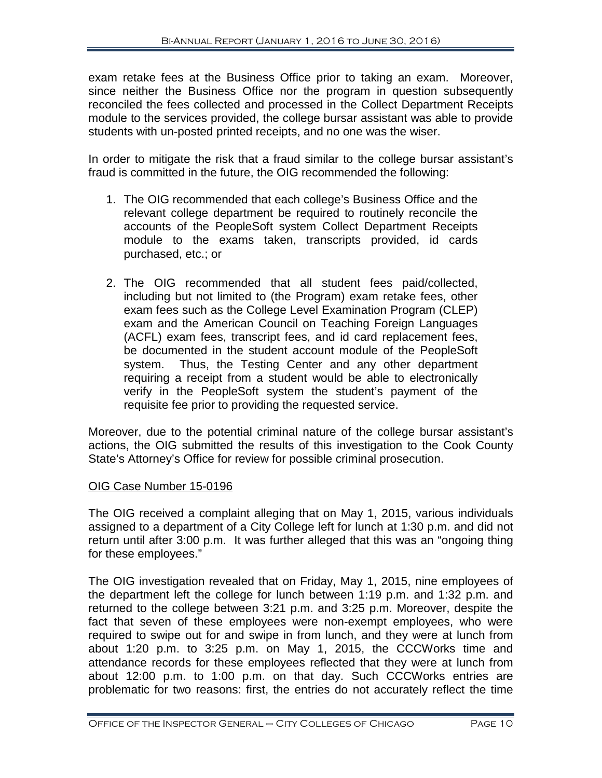exam retake fees at the Business Office prior to taking an exam. Moreover, since neither the Business Office nor the program in question subsequently reconciled the fees collected and processed in the Collect Department Receipts module to the services provided, the college bursar assistant was able to provide students with un-posted printed receipts, and no one was the wiser.

In order to mitigate the risk that a fraud similar to the college bursar assistant's fraud is committed in the future, the OIG recommended the following:

- 1. The OIG recommended that each college's Business Office and the relevant college department be required to routinely reconcile the accounts of the PeopleSoft system Collect Department Receipts module to the exams taken, transcripts provided, id cards purchased, etc.; or
- 2. The OIG recommended that all student fees paid/collected, including but not limited to (the Program) exam retake fees, other exam fees such as the College Level Examination Program (CLEP) exam and the American Council on Teaching Foreign Languages (ACFL) exam fees, transcript fees, and id card replacement fees, be documented in the student account module of the PeopleSoft system. Thus, the Testing Center and any other department requiring a receipt from a student would be able to electronically verify in the PeopleSoft system the student's payment of the requisite fee prior to providing the requested service.

Moreover, due to the potential criminal nature of the college bursar assistant's actions, the OIG submitted the results of this investigation to the Cook County State's Attorney's Office for review for possible criminal prosecution.

# OIG Case Number 15-0196

The OIG received a complaint alleging that on May 1, 2015, various individuals assigned to a department of a City College left for lunch at 1:30 p.m. and did not return until after 3:00 p.m. It was further alleged that this was an "ongoing thing for these employees."

The OIG investigation revealed that on Friday, May 1, 2015, nine employees of the department left the college for lunch between 1:19 p.m. and 1:32 p.m. and returned to the college between 3:21 p.m. and 3:25 p.m. Moreover, despite the fact that seven of these employees were non-exempt employees, who were required to swipe out for and swipe in from lunch, and they were at lunch from about 1:20 p.m. to 3:25 p.m. on May 1, 2015, the CCCWorks time and attendance records for these employees reflected that they were at lunch from about 12:00 p.m. to 1:00 p.m. on that day. Such CCCWorks entries are problematic for two reasons: first, the entries do not accurately reflect the time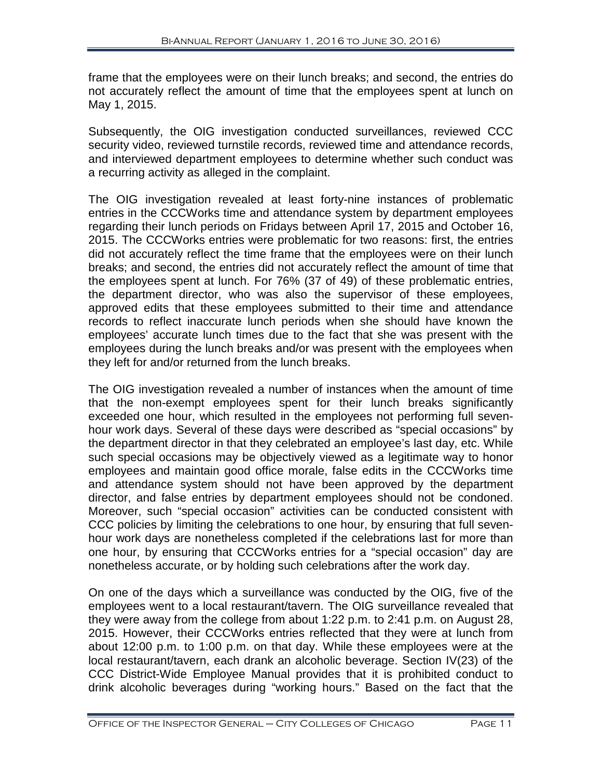frame that the employees were on their lunch breaks; and second, the entries do not accurately reflect the amount of time that the employees spent at lunch on May 1, 2015.

Subsequently, the OIG investigation conducted surveillances, reviewed CCC security video, reviewed turnstile records, reviewed time and attendance records, and interviewed department employees to determine whether such conduct was a recurring activity as alleged in the complaint.

The OIG investigation revealed at least forty-nine instances of problematic entries in the CCCWorks time and attendance system by department employees regarding their lunch periods on Fridays between April 17, 2015 and October 16, 2015. The CCCWorks entries were problematic for two reasons: first, the entries did not accurately reflect the time frame that the employees were on their lunch breaks; and second, the entries did not accurately reflect the amount of time that the employees spent at lunch. For 76% (37 of 49) of these problematic entries, the department director, who was also the supervisor of these employees, approved edits that these employees submitted to their time and attendance records to reflect inaccurate lunch periods when she should have known the employees' accurate lunch times due to the fact that she was present with the employees during the lunch breaks and/or was present with the employees when they left for and/or returned from the lunch breaks.

The OIG investigation revealed a number of instances when the amount of time that the non-exempt employees spent for their lunch breaks significantly exceeded one hour, which resulted in the employees not performing full sevenhour work days. Several of these days were described as "special occasions" by the department director in that they celebrated an employee's last day, etc. While such special occasions may be objectively viewed as a legitimate way to honor employees and maintain good office morale, false edits in the CCCWorks time and attendance system should not have been approved by the department director, and false entries by department employees should not be condoned. Moreover, such "special occasion" activities can be conducted consistent with CCC policies by limiting the celebrations to one hour, by ensuring that full sevenhour work days are nonetheless completed if the celebrations last for more than one hour, by ensuring that CCCWorks entries for a "special occasion" day are nonetheless accurate, or by holding such celebrations after the work day.

On one of the days which a surveillance was conducted by the OIG, five of the employees went to a local restaurant/tavern. The OIG surveillance revealed that they were away from the college from about 1:22 p.m. to 2:41 p.m. on August 28, 2015. However, their CCCWorks entries reflected that they were at lunch from about 12:00 p.m. to 1:00 p.m. on that day. While these employees were at the local restaurant/tavern, each drank an alcoholic beverage. Section IV(23) of the CCC District-Wide Employee Manual provides that it is prohibited conduct to drink alcoholic beverages during "working hours." Based on the fact that the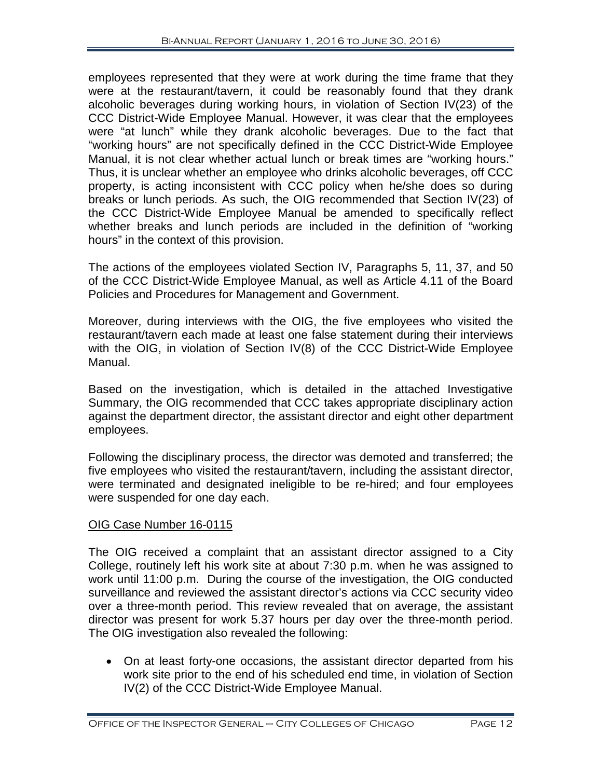employees represented that they were at work during the time frame that they were at the restaurant/tavern, it could be reasonably found that they drank alcoholic beverages during working hours, in violation of Section IV(23) of the CCC District-Wide Employee Manual. However, it was clear that the employees were "at lunch" while they drank alcoholic beverages. Due to the fact that "working hours" are not specifically defined in the CCC District-Wide Employee Manual, it is not clear whether actual lunch or break times are "working hours." Thus, it is unclear whether an employee who drinks alcoholic beverages, off CCC property, is acting inconsistent with CCC policy when he/she does so during breaks or lunch periods. As such, the OIG recommended that Section IV(23) of the CCC District-Wide Employee Manual be amended to specifically reflect whether breaks and lunch periods are included in the definition of "working hours" in the context of this provision.

The actions of the employees violated Section IV, Paragraphs 5, 11, 37, and 50 of the CCC District-Wide Employee Manual, as well as Article 4.11 of the Board Policies and Procedures for Management and Government.

Moreover, during interviews with the OIG, the five employees who visited the restaurant/tavern each made at least one false statement during their interviews with the OIG, in violation of Section IV(8) of the CCC District-Wide Employee Manual.

Based on the investigation, which is detailed in the attached Investigative Summary, the OIG recommended that CCC takes appropriate disciplinary action against the department director, the assistant director and eight other department employees.

Following the disciplinary process, the director was demoted and transferred; the five employees who visited the restaurant/tavern, including the assistant director, were terminated and designated ineligible to be re-hired; and four employees were suspended for one day each.

# OIG Case Number 16-0115

The OIG received a complaint that an assistant director assigned to a City College, routinely left his work site at about 7:30 p.m. when he was assigned to work until 11:00 p.m. During the course of the investigation, the OIG conducted surveillance and reviewed the assistant director's actions via CCC security video over a three-month period. This review revealed that on average, the assistant director was present for work 5.37 hours per day over the three-month period. The OIG investigation also revealed the following:

• On at least forty-one occasions, the assistant director departed from his work site prior to the end of his scheduled end time, in violation of Section IV(2) of the CCC District-Wide Employee Manual.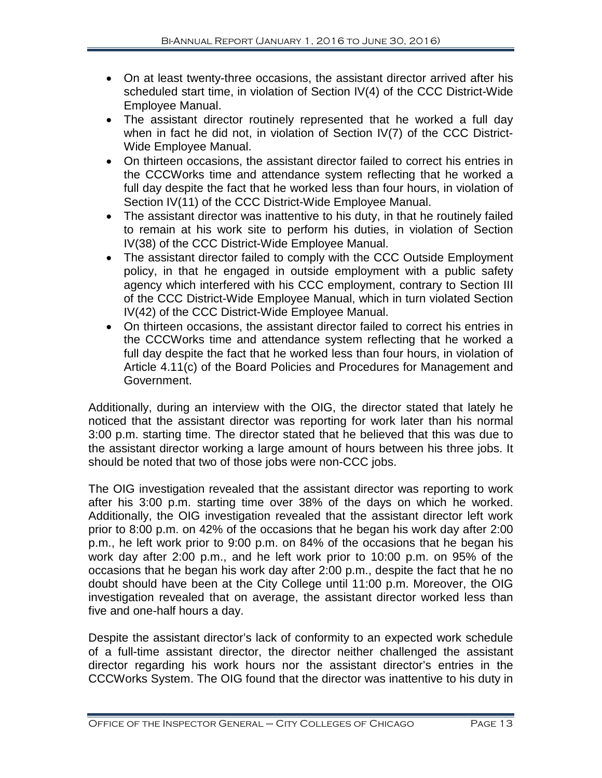- On at least twenty-three occasions, the assistant director arrived after his scheduled start time, in violation of Section IV(4) of the CCC District-Wide Employee Manual.
- The assistant director routinely represented that he worked a full day when in fact he did not, in violation of Section IV(7) of the CCC District-Wide Employee Manual.
- On thirteen occasions, the assistant director failed to correct his entries in the CCCWorks time and attendance system reflecting that he worked a full day despite the fact that he worked less than four hours, in violation of Section IV(11) of the CCC District-Wide Employee Manual.
- The assistant director was inattentive to his duty, in that he routinely failed to remain at his work site to perform his duties, in violation of Section IV(38) of the CCC District-Wide Employee Manual.
- The assistant director failed to comply with the CCC Outside Employment policy, in that he engaged in outside employment with a public safety agency which interfered with his CCC employment, contrary to Section III of the CCC District-Wide Employee Manual, which in turn violated Section IV(42) of the CCC District-Wide Employee Manual.
- On thirteen occasions, the assistant director failed to correct his entries in the CCCWorks time and attendance system reflecting that he worked a full day despite the fact that he worked less than four hours, in violation of Article 4.11(c) of the Board Policies and Procedures for Management and Government.

Additionally, during an interview with the OIG, the director stated that lately he noticed that the assistant director was reporting for work later than his normal 3:00 p.m. starting time. The director stated that he believed that this was due to the assistant director working a large amount of hours between his three jobs. It should be noted that two of those jobs were non-CCC jobs.

The OIG investigation revealed that the assistant director was reporting to work after his 3:00 p.m. starting time over 38% of the days on which he worked. Additionally, the OIG investigation revealed that the assistant director left work prior to 8:00 p.m. on 42% of the occasions that he began his work day after 2:00 p.m., he left work prior to 9:00 p.m. on 84% of the occasions that he began his work day after 2:00 p.m., and he left work prior to 10:00 p.m. on 95% of the occasions that he began his work day after 2:00 p.m., despite the fact that he no doubt should have been at the City College until 11:00 p.m. Moreover, the OIG investigation revealed that on average, the assistant director worked less than five and one-half hours a day.

Despite the assistant director's lack of conformity to an expected work schedule of a full-time assistant director, the director neither challenged the assistant director regarding his work hours nor the assistant director's entries in the CCCWorks System. The OIG found that the director was inattentive to his duty in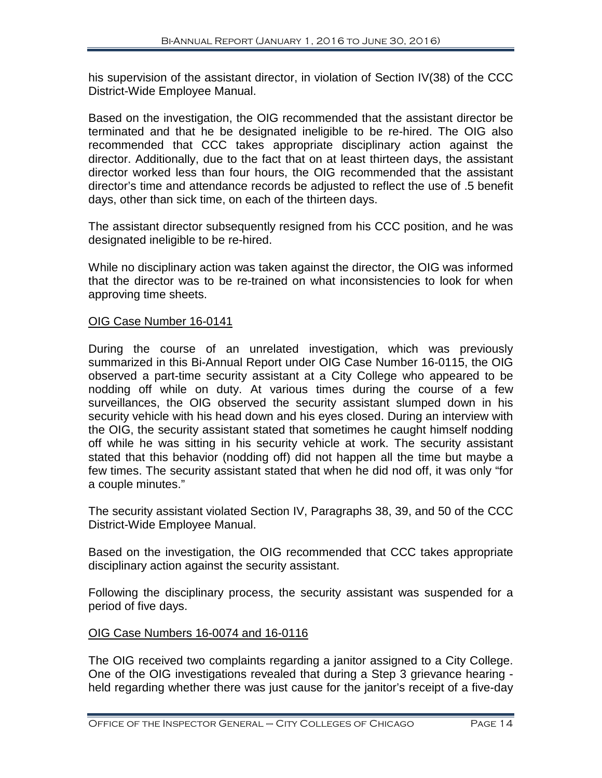his supervision of the assistant director, in violation of Section IV(38) of the CCC District-Wide Employee Manual.

Based on the investigation, the OIG recommended that the assistant director be terminated and that he be designated ineligible to be re-hired. The OIG also recommended that CCC takes appropriate disciplinary action against the director. Additionally, due to the fact that on at least thirteen days, the assistant director worked less than four hours, the OIG recommended that the assistant director's time and attendance records be adjusted to reflect the use of .5 benefit days, other than sick time, on each of the thirteen days.

The assistant director subsequently resigned from his CCC position, and he was designated ineligible to be re-hired.

While no disciplinary action was taken against the director, the OIG was informed that the director was to be re-trained on what inconsistencies to look for when approving time sheets.

# OIG Case Number 16-0141

During the course of an unrelated investigation, which was previously summarized in this Bi-Annual Report under OIG Case Number 16-0115, the OIG observed a part-time security assistant at a City College who appeared to be nodding off while on duty. At various times during the course of a few surveillances, the OIG observed the security assistant slumped down in his security vehicle with his head down and his eyes closed. During an interview with the OIG, the security assistant stated that sometimes he caught himself nodding off while he was sitting in his security vehicle at work. The security assistant stated that this behavior (nodding off) did not happen all the time but maybe a few times. The security assistant stated that when he did nod off, it was only "for a couple minutes."

The security assistant violated Section IV, Paragraphs 38, 39, and 50 of the CCC District-Wide Employee Manual.

Based on the investigation, the OIG recommended that CCC takes appropriate disciplinary action against the security assistant.

Following the disciplinary process, the security assistant was suspended for a period of five days.

# OIG Case Numbers 16-0074 and 16-0116

The OIG received two complaints regarding a janitor assigned to a City College. One of the OIG investigations revealed that during a Step 3 grievance hearing held regarding whether there was just cause for the janitor's receipt of a five-day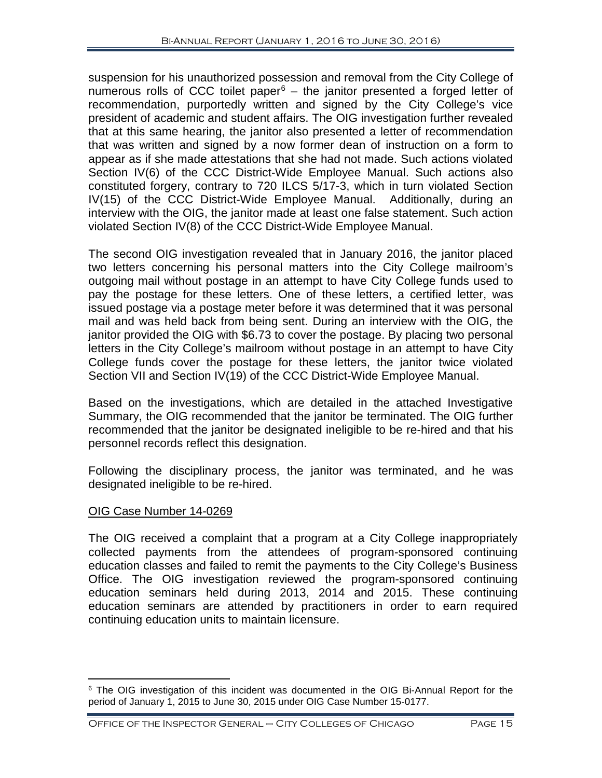suspension for his unauthorized possession and removal from the City College of numerous rolls of CCC toilet paper $6 6 -$  the janitor presented a forged letter of recommendation, purportedly written and signed by the City College's vice president of academic and student affairs. The OIG investigation further revealed that at this same hearing, the janitor also presented a letter of recommendation that was written and signed by a now former dean of instruction on a form to appear as if she made attestations that she had not made. Such actions violated Section IV(6) of the CCC District-Wide Employee Manual. Such actions also constituted forgery, contrary to 720 ILCS 5/17-3, which in turn violated Section IV(15) of the CCC District-Wide Employee Manual. Additionally, during an interview with the OIG, the janitor made at least one false statement. Such action violated Section IV(8) of the CCC District-Wide Employee Manual.

The second OIG investigation revealed that in January 2016, the janitor placed two letters concerning his personal matters into the City College mailroom's outgoing mail without postage in an attempt to have City College funds used to pay the postage for these letters. One of these letters, a certified letter, was issued postage via a postage meter before it was determined that it was personal mail and was held back from being sent. During an interview with the OIG, the janitor provided the OIG with \$6.73 to cover the postage. By placing two personal letters in the City College's mailroom without postage in an attempt to have City College funds cover the postage for these letters, the janitor twice violated Section VII and Section IV(19) of the CCC District-Wide Employee Manual.

Based on the investigations, which are detailed in the attached Investigative Summary, the OIG recommended that the janitor be terminated. The OIG further recommended that the janitor be designated ineligible to be re-hired and that his personnel records reflect this designation.

Following the disciplinary process, the janitor was terminated, and he was designated ineligible to be re-hired.

# OIG Case Number 14-0269

 $\overline{a}$ 

The OIG received a complaint that a program at a City College inappropriately collected payments from the attendees of program-sponsored continuing education classes and failed to remit the payments to the City College's Business Office. The OIG investigation reviewed the program-sponsored continuing education seminars held during 2013, 2014 and 2015. These continuing education seminars are attended by practitioners in order to earn required continuing education units to maintain licensure.

<span id="page-16-0"></span><sup>&</sup>lt;sup>6</sup> The OIG investigation of this incident was documented in the OIG Bi-Annual Report for the period of January 1, 2015 to June 30, 2015 under OIG Case Number 15-0177.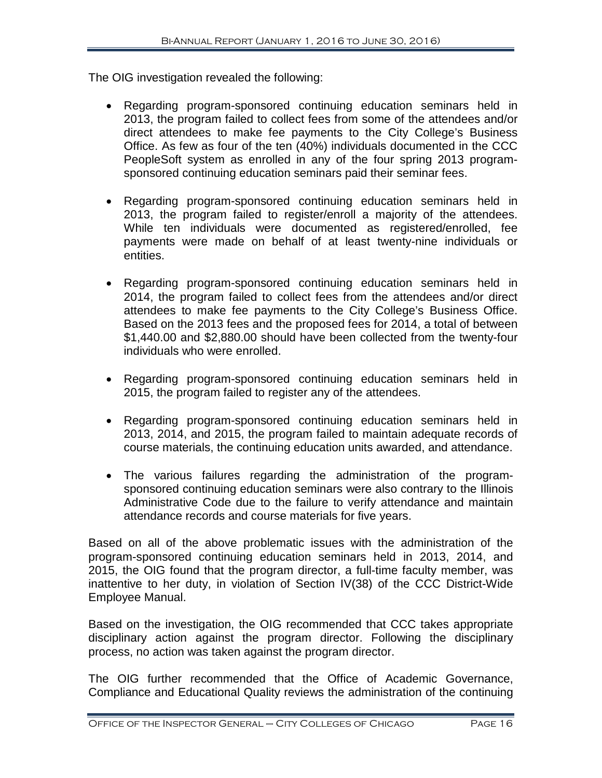The OIG investigation revealed the following:

- Regarding program-sponsored continuing education seminars held in 2013, the program failed to collect fees from some of the attendees and/or direct attendees to make fee payments to the City College's Business Office. As few as four of the ten (40%) individuals documented in the CCC PeopleSoft system as enrolled in any of the four spring 2013 programsponsored continuing education seminars paid their seminar fees.
- Regarding program-sponsored continuing education seminars held in 2013, the program failed to register/enroll a majority of the attendees. While ten individuals were documented as registered/enrolled, fee payments were made on behalf of at least twenty-nine individuals or entities.
- Regarding program-sponsored continuing education seminars held in 2014, the program failed to collect fees from the attendees and/or direct attendees to make fee payments to the City College's Business Office. Based on the 2013 fees and the proposed fees for 2014, a total of between \$1,440.00 and \$2,880.00 should have been collected from the twenty-four individuals who were enrolled.
- Regarding program-sponsored continuing education seminars held in 2015, the program failed to register any of the attendees.
- Regarding program-sponsored continuing education seminars held in 2013, 2014, and 2015, the program failed to maintain adequate records of course materials, the continuing education units awarded, and attendance.
- The various failures regarding the administration of the programsponsored continuing education seminars were also contrary to the Illinois Administrative Code due to the failure to verify attendance and maintain attendance records and course materials for five years.

Based on all of the above problematic issues with the administration of the program-sponsored continuing education seminars held in 2013, 2014, and 2015, the OIG found that the program director, a full-time faculty member, was inattentive to her duty, in violation of Section IV(38) of the CCC District-Wide Employee Manual.

Based on the investigation, the OIG recommended that CCC takes appropriate disciplinary action against the program director. Following the disciplinary process, no action was taken against the program director.

The OIG further recommended that the Office of Academic Governance, Compliance and Educational Quality reviews the administration of the continuing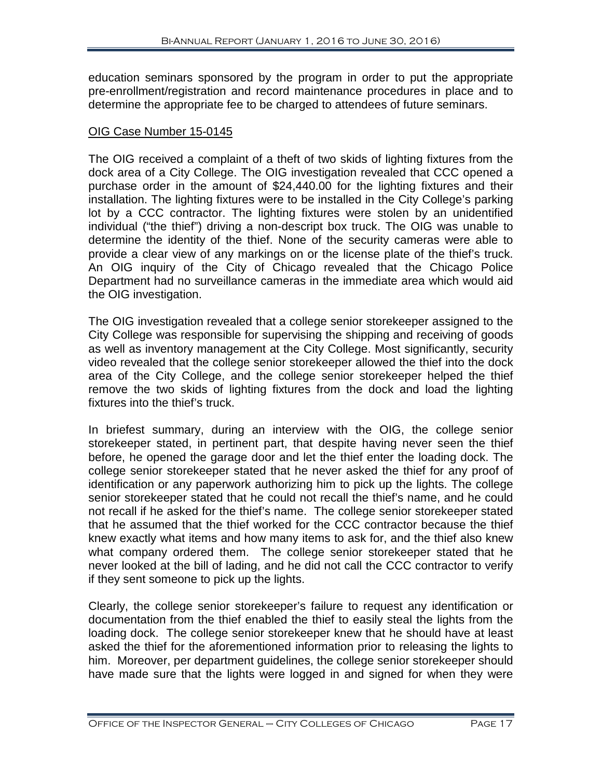education seminars sponsored by the program in order to put the appropriate pre-enrollment/registration and record maintenance procedures in place and to determine the appropriate fee to be charged to attendees of future seminars.

# OIG Case Number 15-0145

The OIG received a complaint of a theft of two skids of lighting fixtures from the dock area of a City College. The OIG investigation revealed that CCC opened a purchase order in the amount of \$24,440.00 for the lighting fixtures and their installation. The lighting fixtures were to be installed in the City College's parking lot by a CCC contractor. The lighting fixtures were stolen by an unidentified individual ("the thief") driving a non-descript box truck. The OIG was unable to determine the identity of the thief. None of the security cameras were able to provide a clear view of any markings on or the license plate of the thief's truck. An OIG inquiry of the City of Chicago revealed that the Chicago Police Department had no surveillance cameras in the immediate area which would aid the OIG investigation.

The OIG investigation revealed that a college senior storekeeper assigned to the City College was responsible for supervising the shipping and receiving of goods as well as inventory management at the City College. Most significantly, security video revealed that the college senior storekeeper allowed the thief into the dock area of the City College, and the college senior storekeeper helped the thief remove the two skids of lighting fixtures from the dock and load the lighting fixtures into the thief's truck.

In briefest summary, during an interview with the OIG, the college senior storekeeper stated, in pertinent part, that despite having never seen the thief before, he opened the garage door and let the thief enter the loading dock. The college senior storekeeper stated that he never asked the thief for any proof of identification or any paperwork authorizing him to pick up the lights. The college senior storekeeper stated that he could not recall the thief's name, and he could not recall if he asked for the thief's name. The college senior storekeeper stated that he assumed that the thief worked for the CCC contractor because the thief knew exactly what items and how many items to ask for, and the thief also knew what company ordered them. The college senior storekeeper stated that he never looked at the bill of lading, and he did not call the CCC contractor to verify if they sent someone to pick up the lights.

Clearly, the college senior storekeeper's failure to request any identification or documentation from the thief enabled the thief to easily steal the lights from the loading dock. The college senior storekeeper knew that he should have at least asked the thief for the aforementioned information prior to releasing the lights to him. Moreover, per department guidelines, the college senior storekeeper should have made sure that the lights were logged in and signed for when they were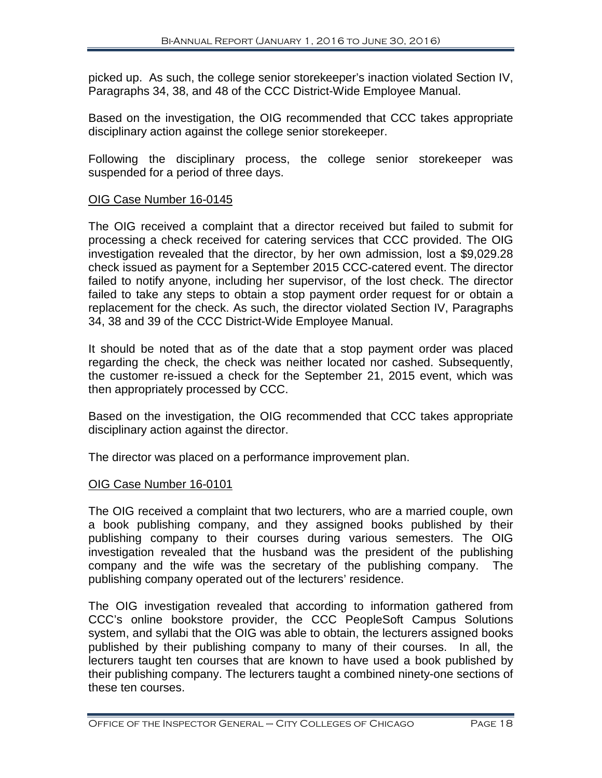picked up. As such, the college senior storekeeper's inaction violated Section IV, Paragraphs 34, 38, and 48 of the CCC District-Wide Employee Manual.

Based on the investigation, the OIG recommended that CCC takes appropriate disciplinary action against the college senior storekeeper.

Following the disciplinary process, the college senior storekeeper was suspended for a period of three days.

# OIG Case Number 16-0145

The OIG received a complaint that a director received but failed to submit for processing a check received for catering services that CCC provided. The OIG investigation revealed that the director, by her own admission, lost a \$9,029.28 check issued as payment for a September 2015 CCC-catered event. The director failed to notify anyone, including her supervisor, of the lost check. The director failed to take any steps to obtain a stop payment order request for or obtain a replacement for the check. As such, the director violated Section IV, Paragraphs 34, 38 and 39 of the CCC District-Wide Employee Manual.

It should be noted that as of the date that a stop payment order was placed regarding the check, the check was neither located nor cashed. Subsequently, the customer re-issued a check for the September 21, 2015 event, which was then appropriately processed by CCC.

Based on the investigation, the OIG recommended that CCC takes appropriate disciplinary action against the director.

The director was placed on a performance improvement plan.

# OIG Case Number 16-0101

The OIG received a complaint that two lecturers, who are a married couple, own a book publishing company, and they assigned books published by their publishing company to their courses during various semesters. The OIG investigation revealed that the husband was the president of the publishing company and the wife was the secretary of the publishing company. The publishing company operated out of the lecturers' residence.

The OIG investigation revealed that according to information gathered from CCC's online bookstore provider, the CCC PeopleSoft Campus Solutions system, and syllabi that the OIG was able to obtain, the lecturers assigned books published by their publishing company to many of their courses. In all, the lecturers taught ten courses that are known to have used a book published by their publishing company. The lecturers taught a combined ninety-one sections of these ten courses.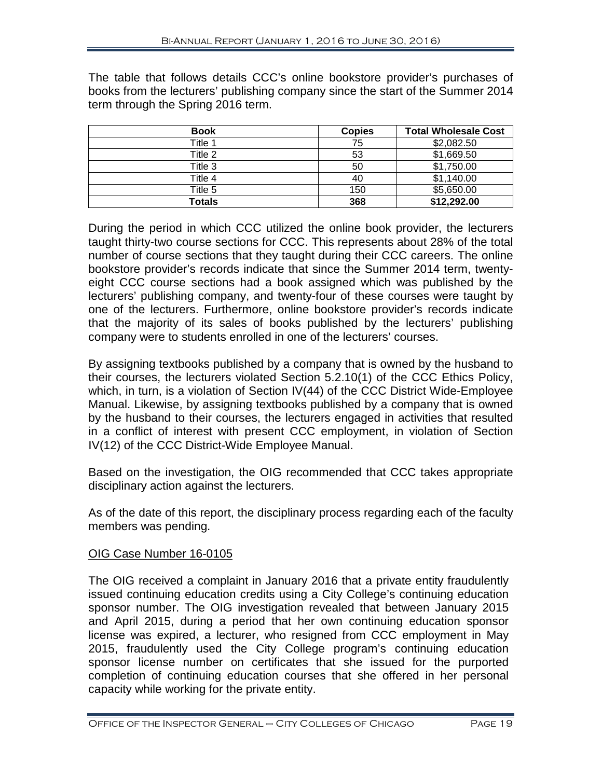The table that follows details CCC's online bookstore provider's purchases of books from the lecturers' publishing company since the start of the Summer 2014 term through the Spring 2016 term.

| <b>Book</b> | <b>Copies</b> | <b>Total Wholesale Cost</b> |
|-------------|---------------|-----------------------------|
| Title 1     | 75            | \$2,082.50                  |
| Title 2     | 53            | \$1,669.50                  |
| Title 3     | 50            | \$1,750.00                  |
| Title 4     | 40            | \$1,140.00                  |
| Title 5     | 150           | \$5,650.00                  |
| Totals      | 368           | \$12,292.00                 |

During the period in which CCC utilized the online book provider, the lecturers taught thirty-two course sections for CCC. This represents about 28% of the total number of course sections that they taught during their CCC careers. The online bookstore provider's records indicate that since the Summer 2014 term, twentyeight CCC course sections had a book assigned which was published by the lecturers' publishing company, and twenty-four of these courses were taught by one of the lecturers. Furthermore, online bookstore provider's records indicate that the majority of its sales of books published by the lecturers' publishing company were to students enrolled in one of the lecturers' courses.

By assigning textbooks published by a company that is owned by the husband to their courses, the lecturers violated Section 5.2.10(1) of the CCC Ethics Policy, which, in turn, is a violation of Section IV(44) of the CCC District Wide-Employee Manual. Likewise, by assigning textbooks published by a company that is owned by the husband to their courses, the lecturers engaged in activities that resulted in a conflict of interest with present CCC employment, in violation of Section IV(12) of the CCC District-Wide Employee Manual.

Based on the investigation, the OIG recommended that CCC takes appropriate disciplinary action against the lecturers.

As of the date of this report, the disciplinary process regarding each of the faculty members was pending.

# OIG Case Number 16-0105

The OIG received a complaint in January 2016 that a private entity fraudulently issued continuing education credits using a City College's continuing education sponsor number. The OIG investigation revealed that between January 2015 and April 2015, during a period that her own continuing education sponsor license was expired, a lecturer, who resigned from CCC employment in May 2015, fraudulently used the City College program's continuing education sponsor license number on certificates that she issued for the purported completion of continuing education courses that she offered in her personal capacity while working for the private entity.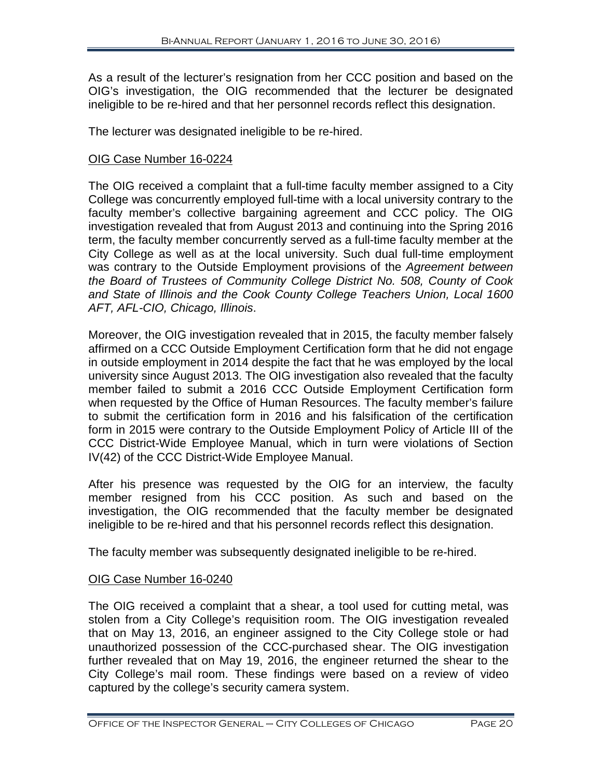As a result of the lecturer's resignation from her CCC position and based on the OIG's investigation, the OIG recommended that the lecturer be designated ineligible to be re-hired and that her personnel records reflect this designation.

The lecturer was designated ineligible to be re-hired.

# OIG Case Number 16-0224

The OIG received a complaint that a full-time faculty member assigned to a City College was concurrently employed full-time with a local university contrary to the faculty member's collective bargaining agreement and CCC policy. The OIG investigation revealed that from August 2013 and continuing into the Spring 2016 term, the faculty member concurrently served as a full-time faculty member at the City College as well as at the local university. Such dual full-time employment was contrary to the Outside Employment provisions of the *Agreement between the Board of Trustees of Community College District No. 508, County of Cook and State of Illinois and the Cook County College Teachers Union, Local 1600 AFT, AFL-CIO, Chicago, Illinois*.

Moreover, the OIG investigation revealed that in 2015, the faculty member falsely affirmed on a CCC Outside Employment Certification form that he did not engage in outside employment in 2014 despite the fact that he was employed by the local university since August 2013. The OIG investigation also revealed that the faculty member failed to submit a 2016 CCC Outside Employment Certification form when requested by the Office of Human Resources. The faculty member's failure to submit the certification form in 2016 and his falsification of the certification form in 2015 were contrary to the Outside Employment Policy of Article III of the CCC District-Wide Employee Manual, which in turn were violations of Section IV(42) of the CCC District-Wide Employee Manual.

After his presence was requested by the OIG for an interview, the faculty member resigned from his CCC position. As such and based on the investigation, the OIG recommended that the faculty member be designated ineligible to be re-hired and that his personnel records reflect this designation.

The faculty member was subsequently designated ineligible to be re-hired.

# OIG Case Number 16-0240

The OIG received a complaint that a shear, a tool used for cutting metal, was stolen from a City College's requisition room. The OIG investigation revealed that on May 13, 2016, an engineer assigned to the City College stole or had unauthorized possession of the CCC-purchased shear. The OIG investigation further revealed that on May 19, 2016, the engineer returned the shear to the City College's mail room. These findings were based on a review of video captured by the college's security camera system.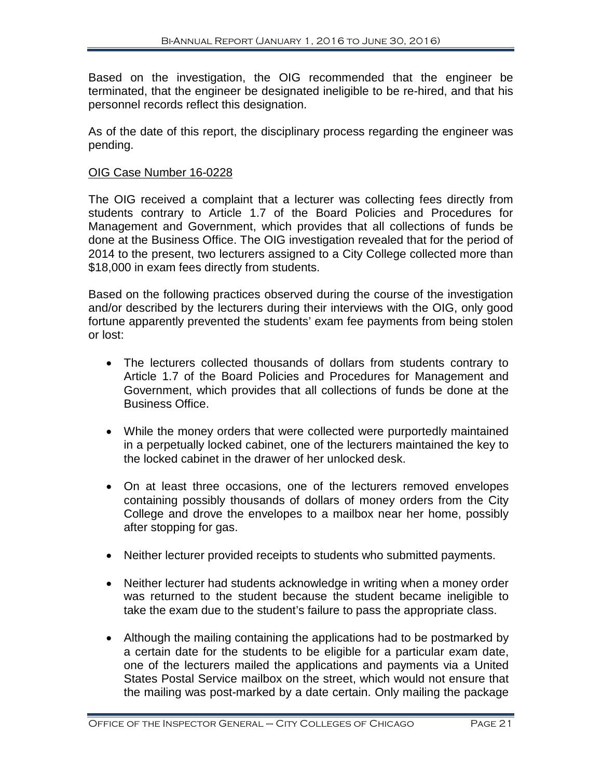Based on the investigation, the OIG recommended that the engineer be terminated, that the engineer be designated ineligible to be re-hired, and that his personnel records reflect this designation.

As of the date of this report, the disciplinary process regarding the engineer was pending.

# OIG Case Number 16-0228

The OIG received a complaint that a lecturer was collecting fees directly from students contrary to Article 1.7 of the Board Policies and Procedures for Management and Government, which provides that all collections of funds be done at the Business Office. The OIG investigation revealed that for the period of 2014 to the present, two lecturers assigned to a City College collected more than \$18,000 in exam fees directly from students.

Based on the following practices observed during the course of the investigation and/or described by the lecturers during their interviews with the OIG, only good fortune apparently prevented the students' exam fee payments from being stolen or lost:

- The lecturers collected thousands of dollars from students contrary to Article 1.7 of the Board Policies and Procedures for Management and Government, which provides that all collections of funds be done at the Business Office.
- While the money orders that were collected were purportedly maintained in a perpetually locked cabinet, one of the lecturers maintained the key to the locked cabinet in the drawer of her unlocked desk.
- On at least three occasions, one of the lecturers removed envelopes containing possibly thousands of dollars of money orders from the City College and drove the envelopes to a mailbox near her home, possibly after stopping for gas.
- Neither lecturer provided receipts to students who submitted payments.
- Neither lecturer had students acknowledge in writing when a money order was returned to the student because the student became ineligible to take the exam due to the student's failure to pass the appropriate class.
- Although the mailing containing the applications had to be postmarked by a certain date for the students to be eligible for a particular exam date, one of the lecturers mailed the applications and payments via a United States Postal Service mailbox on the street, which would not ensure that the mailing was post-marked by a date certain. Only mailing the package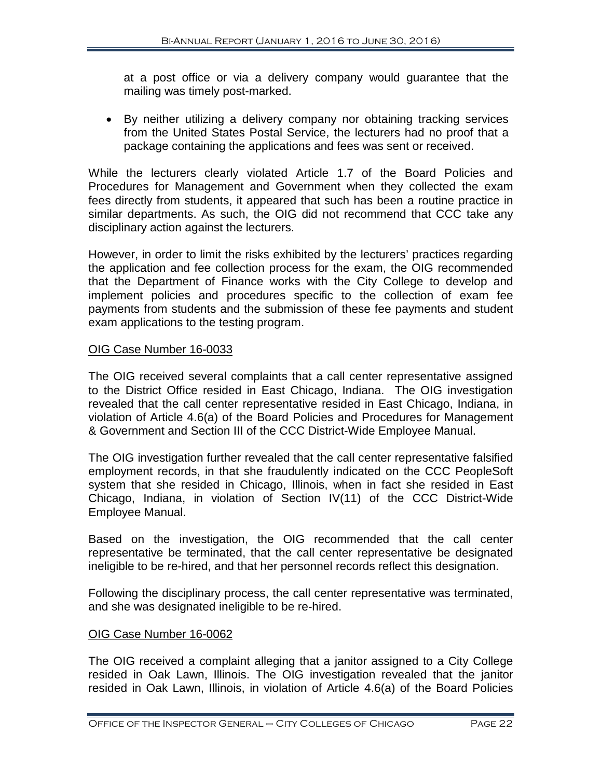at a post office or via a delivery company would guarantee that the mailing was timely post-marked.

• By neither utilizing a delivery company nor obtaining tracking services from the United States Postal Service, the lecturers had no proof that a package containing the applications and fees was sent or received.

While the lecturers clearly violated Article 1.7 of the Board Policies and Procedures for Management and Government when they collected the exam fees directly from students, it appeared that such has been a routine practice in similar departments. As such, the OIG did not recommend that CCC take any disciplinary action against the lecturers.

However, in order to limit the risks exhibited by the lecturers' practices regarding the application and fee collection process for the exam, the OIG recommended that the Department of Finance works with the City College to develop and implement policies and procedures specific to the collection of exam fee payments from students and the submission of these fee payments and student exam applications to the testing program.

# OIG Case Number 16-0033

The OIG received several complaints that a call center representative assigned to the District Office resided in East Chicago, Indiana. The OIG investigation revealed that the call center representative resided in East Chicago, Indiana, in violation of Article 4.6(a) of the Board Policies and Procedures for Management & Government and Section III of the CCC District-Wide Employee Manual.

The OIG investigation further revealed that the call center representative falsified employment records, in that she fraudulently indicated on the CCC PeopleSoft system that she resided in Chicago, Illinois, when in fact she resided in East Chicago, Indiana, in violation of Section IV(11) of the CCC District-Wide Employee Manual.

Based on the investigation, the OIG recommended that the call center representative be terminated, that the call center representative be designated ineligible to be re-hired, and that her personnel records reflect this designation.

Following the disciplinary process, the call center representative was terminated, and she was designated ineligible to be re-hired.

#### OIG Case Number 16-0062

The OIG received a complaint alleging that a janitor assigned to a City College resided in Oak Lawn, Illinois. The OIG investigation revealed that the janitor resided in Oak Lawn, Illinois, in violation of Article 4.6(a) of the Board Policies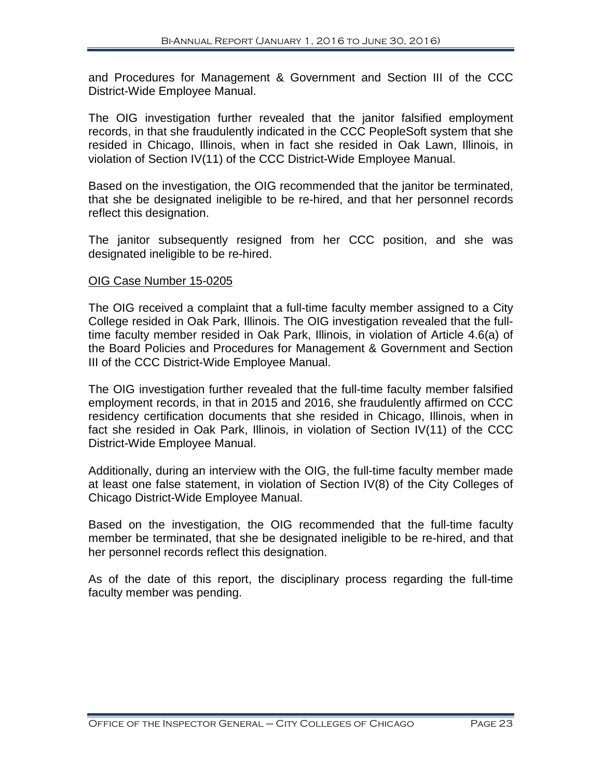and Procedures for Management & Government and Section III of the CCC District-Wide Employee Manual.

The OIG investigation further revealed that the janitor falsified employment records, in that she fraudulently indicated in the CCC PeopleSoft system that she resided in Chicago, Illinois, when in fact she resided in Oak Lawn, Illinois, in violation of Section IV(11) of the CCC District-Wide Employee Manual.

Based on the investigation, the OIG recommended that the janitor be terminated, that she be designated ineligible to be re-hired, and that her personnel records reflect this designation.

The janitor subsequently resigned from her CCC position, and she was designated ineligible to be re-hired.

# OIG Case Number 15-0205

The OIG received a complaint that a full-time faculty member assigned to a City College resided in Oak Park, Illinois. The OIG investigation revealed that the fulltime faculty member resided in Oak Park, Illinois, in violation of Article 4.6(a) of the Board Policies and Procedures for Management & Government and Section III of the CCC District-Wide Employee Manual.

The OIG investigation further revealed that the full-time faculty member falsified employment records, in that in 2015 and 2016, she fraudulently affirmed on CCC residency certification documents that she resided in Chicago, Illinois, when in fact she resided in Oak Park, Illinois, in violation of Section IV(11) of the CCC District-Wide Employee Manual.

Additionally, during an interview with the OIG, the full-time faculty member made at least one false statement, in violation of Section IV(8) of the City Colleges of Chicago District-Wide Employee Manual.

Based on the investigation, the OIG recommended that the full-time faculty member be terminated, that she be designated ineligible to be re-hired, and that her personnel records reflect this designation.

As of the date of this report, the disciplinary process regarding the full-time faculty member was pending.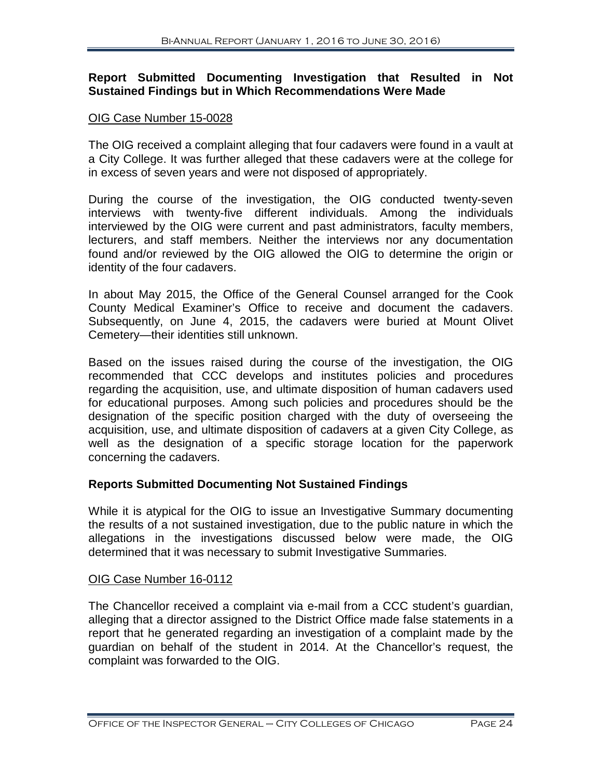# **Report Submitted Documenting Investigation that Resulted in Not Sustained Findings but in Which Recommendations Were Made**

# OIG Case Number 15-0028

The OIG received a complaint alleging that four cadavers were found in a vault at a City College. It was further alleged that these cadavers were at the college for in excess of seven years and were not disposed of appropriately.

During the course of the investigation, the OIG conducted twenty-seven interviews with twenty-five different individuals. Among the individuals interviewed by the OIG were current and past administrators, faculty members, lecturers, and staff members. Neither the interviews nor any documentation found and/or reviewed by the OIG allowed the OIG to determine the origin or identity of the four cadavers.

In about May 2015, the Office of the General Counsel arranged for the Cook County Medical Examiner's Office to receive and document the cadavers. Subsequently, on June 4, 2015, the cadavers were buried at Mount Olivet Cemetery—their identities still unknown.

Based on the issues raised during the course of the investigation, the OIG recommended that CCC develops and institutes policies and procedures regarding the acquisition, use, and ultimate disposition of human cadavers used for educational purposes. Among such policies and procedures should be the designation of the specific position charged with the duty of overseeing the acquisition, use, and ultimate disposition of cadavers at a given City College, as well as the designation of a specific storage location for the paperwork concerning the cadavers.

# **Reports Submitted Documenting Not Sustained Findings**

While it is atypical for the OIG to issue an Investigative Summary documenting the results of a not sustained investigation, due to the public nature in which the allegations in the investigations discussed below were made, the OIG determined that it was necessary to submit Investigative Summaries.

# OIG Case Number 16-0112

The Chancellor received a complaint via e-mail from a CCC student's guardian, alleging that a director assigned to the District Office made false statements in a report that he generated regarding an investigation of a complaint made by the guardian on behalf of the student in 2014. At the Chancellor's request, the complaint was forwarded to the OIG.